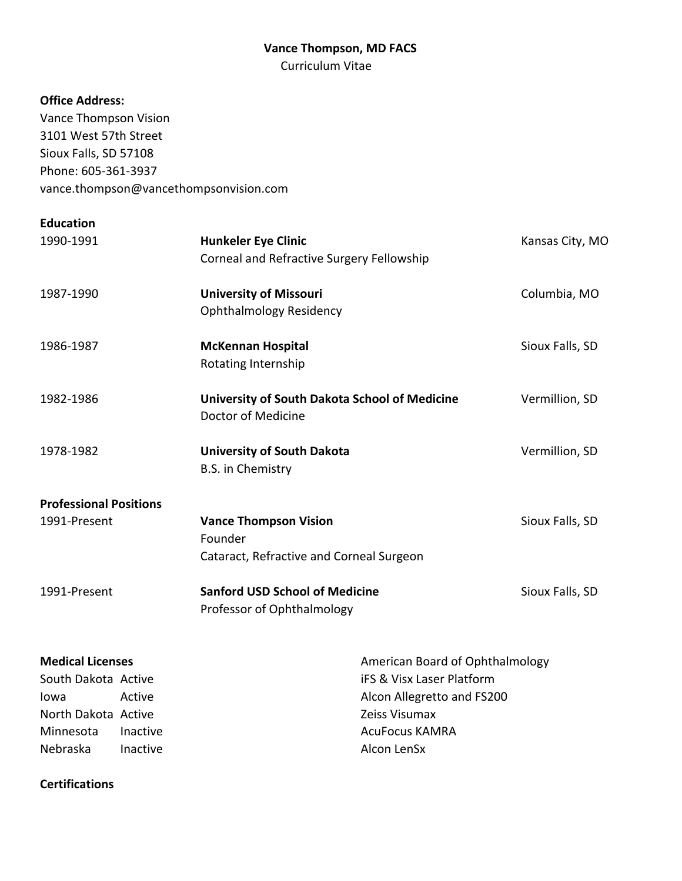# **Vance Thompson, MD FACS**

Curriculum Vitae

# **Office Address:**

Vance Thompson Vision 3101 West 57th Street Sioux Falls, SD 57108 Phone: 605-361-3937 vance.thompson@vancethompsonvision.com

| <b>Education</b> |
|------------------|
|------------------|

**Certifications**

| 1990-1991                     |          | <b>Hunkeler Eye Clinic</b><br>Corneal and Refractive Surgery Fellowship  |                                 | Kansas City, MO |
|-------------------------------|----------|--------------------------------------------------------------------------|---------------------------------|-----------------|
| 1987-1990                     |          | <b>University of Missouri</b><br><b>Ophthalmology Residency</b>          |                                 | Columbia, MO    |
| 1986-1987                     |          | <b>McKennan Hospital</b><br>Rotating Internship                          |                                 | Sioux Falls, SD |
| 1982-1986                     |          | University of South Dakota School of Medicine<br>Doctor of Medicine      |                                 | Vermillion, SD  |
| 1978-1982                     |          | <b>University of South Dakota</b><br><b>B.S.</b> in Chemistry            |                                 | Vermillion, SD  |
| <b>Professional Positions</b> |          |                                                                          |                                 |                 |
| 1991-Present                  | Founder  | <b>Vance Thompson Vision</b><br>Cataract, Refractive and Corneal Surgeon |                                 | Sioux Falls, SD |
| 1991-Present                  |          | <b>Sanford USD School of Medicine</b><br>Professor of Ophthalmology      |                                 | Sioux Falls, SD |
| <b>Medical Licenses</b>       |          |                                                                          | American Board of Ophthalmology |                 |
| South Dakota Active           |          |                                                                          | iFS & Visx Laser Platform       |                 |
| lowa                          | Active   |                                                                          | Alcon Allegretto and FS200      |                 |
| North Dakota Active           |          |                                                                          | Zeiss Visumax                   |                 |
| Minnesota                     | Inactive |                                                                          | <b>AcuFocus KAMRA</b>           |                 |
| Nebraska                      | Inactive |                                                                          | Alcon LenSx                     |                 |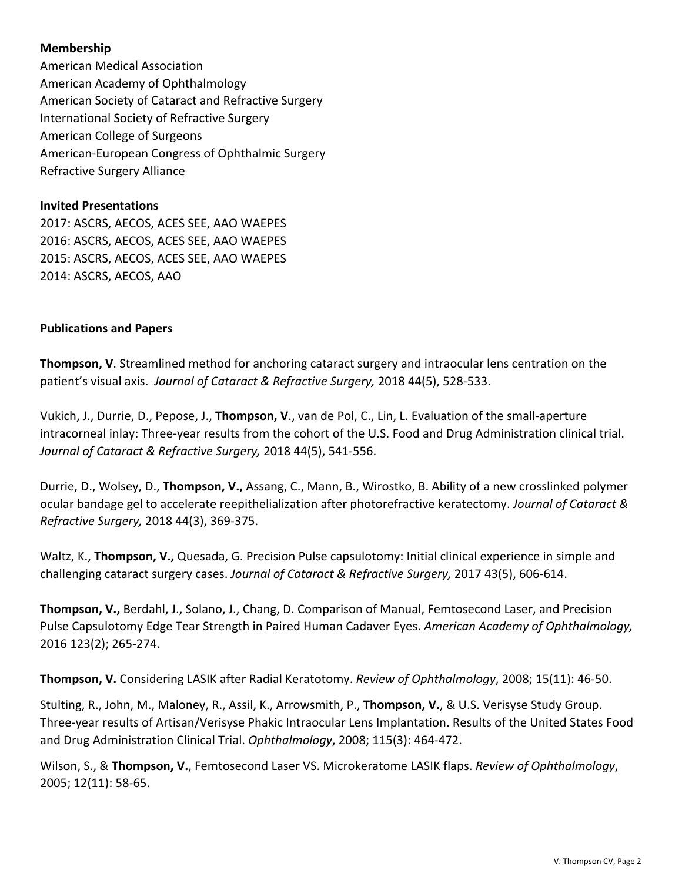## **Membership**

American Medical Association American Academy of Ophthalmology American Society of Cataract and Refractive Surgery International Society of Refractive Surgery American College of Surgeons American-European Congress of Ophthalmic Surgery Refractive Surgery Alliance

### **Invited Presentations**

2017: ASCRS, AECOS, ACES SEE, AAO WAEPES 2016: ASCRS, AECOS, ACES SEE, AAO WAEPES 2015: ASCRS, AECOS, ACES SEE, AAO WAEPES 2014: ASCRS, AECOS, AAO

### **Publications and Papers**

**Thompson, V**. Streamlined method for anchoring cataract surgery and intraocular lens centration on the patient's visual axis. *Journal of Cataract & Refractive Surgery,* 2018 44(5), 528-533.

Vukich, J., Durrie, D., Pepose, J., **Thompson, V**., van de Pol, C., Lin, L. Evaluation of the small-aperture intracorneal inlay: Three-year results from the cohort of the U.S. Food and Drug Administration clinical trial. *Journal of Cataract & Refractive Surgery,* 2018 44(5), 541-556.

Durrie, D., Wolsey, D., **Thompson, V.,** Assang, C., Mann, B., Wirostko, B. Ability of a new crosslinked polymer ocular bandage gel to accelerate reepithelialization after photorefractive keratectomy. *Journal of Cataract & Refractive Surgery,* 2018 44(3), 369-375.

Waltz, K., **Thompson, V.,** Quesada, G. Precision Pulse capsulotomy: Initial clinical experience in simple and challenging cataract surgery cases. *Journal of Cataract & Refractive Surgery,* 2017 43(5), 606-614.

**Thompson, V.,** Berdahl, J., Solano, J., Chang, D. Comparison of Manual, Femtosecond Laser, and Precision Pulse Capsulotomy Edge Tear Strength in Paired Human Cadaver Eyes. *American Academy of Ophthalmology,* 2016 123(2); 265-274.

**Thompson, V.** Considering LASIK after Radial Keratotomy. *Review of Ophthalmology*, 2008; 15(11): 46-50.

Stulting, R., John, M., Maloney, R., Assil, K., Arrowsmith, P., **Thompson, V.**, & U.S. Verisyse Study Group. Three-year results of Artisan/Verisyse Phakic Intraocular Lens Implantation. Results of the United States Food and Drug Administration Clinical Trial. *Ophthalmology*, 2008; 115(3): 464-472.

Wilson, S., & **Thompson, V.**, Femtosecond Laser VS. Microkeratome LASIK flaps. *Review of Ophthalmology*, 2005; 12(11): 58-65.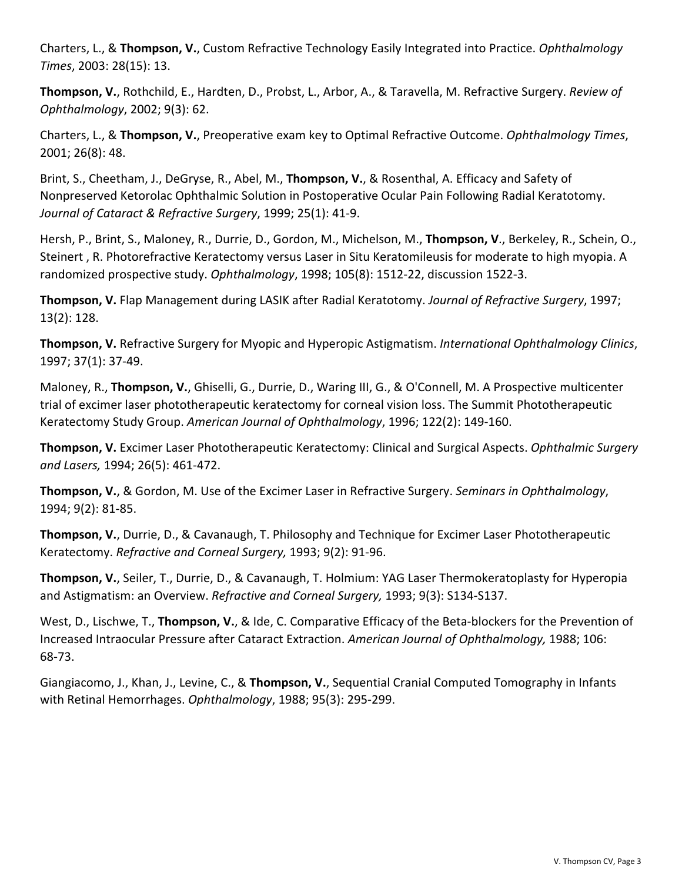Charters, L., & **Thompson, V.**, Custom Refractive Technology Easily Integrated into Practice. *Ophthalmology Times*, 2003: 28(15): 13.

**Thompson, V.**, Rothchild, E., Hardten, D., Probst, L., Arbor, A., & Taravella, M. Refractive Surgery. *Review of Ophthalmology*, 2002; 9(3): 62.

Charters, L., & **Thompson, V.**, Preoperative exam key to Optimal Refractive Outcome. *Ophthalmology Times*, 2001; 26(8): 48.

Brint, S., Cheetham, J., DeGryse, R., Abel, M., **Thompson, V.**, & Rosenthal, A. Efficacy and Safety of Nonpreserved Ketorolac Ophthalmic Solution in Postoperative Ocular Pain Following Radial Keratotomy. *Journal of Cataract & Refractive Surgery*, 1999; 25(1): 41-9.

Hersh, P., Brint, S., Maloney, R., Durrie, D., Gordon, M., Michelson, M., **Thompson, V**., Berkeley, R., Schein, O., Steinert , R. Photorefractive Keratectomy versus Laser in Situ Keratomileusis for moderate to high myopia. A randomized prospective study. *Ophthalmology*, 1998; 105(8): 1512-22, discussion 1522-3.

**Thompson, V.** Flap Management during LASIK after Radial Keratotomy. *Journal of Refractive Surgery*, 1997; 13(2): 128.

**Thompson, V.** Refractive Surgery for Myopic and Hyperopic Astigmatism. *International Ophthalmology Clinics*, 1997; 37(1): 37-49.

Maloney, R., **Thompson, V.**, Ghiselli, G., Durrie, D., Waring III, G., & O'Connell, M. A Prospective multicenter trial of excimer laser phototherapeutic keratectomy for corneal vision loss. The Summit Phototherapeutic Keratectomy Study Group. *American Journal of Ophthalmology*, 1996; 122(2): 149-160.

**Thompson, V.** Excimer Laser Phototherapeutic Keratectomy: Clinical and Surgical Aspects. *Ophthalmic Surgery and Lasers,* 1994; 26(5): 461-472.

**Thompson, V.**, & Gordon, M. Use of the Excimer Laser in Refractive Surgery. *Seminars in Ophthalmology*, 1994; 9(2): 81-85.

**Thompson, V.**, Durrie, D., & Cavanaugh, T. Philosophy and Technique for Excimer Laser Phototherapeutic Keratectomy. *Refractive and Corneal Surgery,* 1993; 9(2): 91-96.

**Thompson, V.**, Seiler, T., Durrie, D., & Cavanaugh, T. Holmium: YAG Laser Thermokeratoplasty for Hyperopia and Astigmatism: an Overview. *Refractive and Corneal Surgery,* 1993; 9(3): S134-S137.

West, D., Lischwe, T., **Thompson, V.**, & Ide, C. Comparative Efficacy of the Beta-blockers for the Prevention of Increased Intraocular Pressure after Cataract Extraction. *American Journal of Ophthalmology,* 1988; 106: 68-73.

Giangiacomo, J., Khan, J., Levine, C., & **Thompson, V.**, Sequential Cranial Computed Tomography in Infants with Retinal Hemorrhages. *Ophthalmology*, 1988; 95(3): 295-299.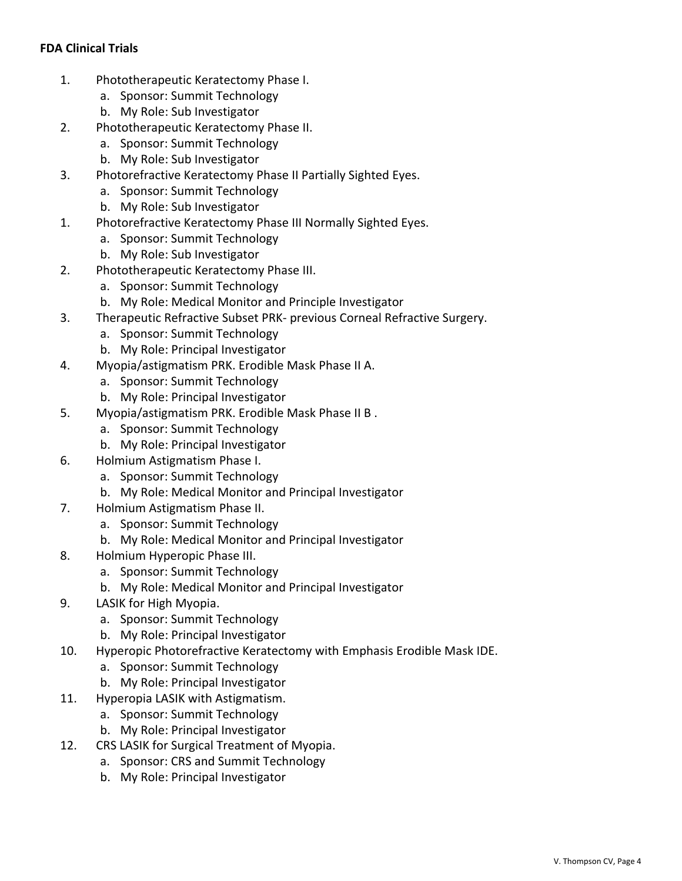# **FDA Clinical Trials**

- 1. Phototherapeutic Keratectomy Phase I.
	- a. Sponsor: Summit Technology
	- b. My Role: Sub Investigator
- 2. Phototherapeutic Keratectomy Phase II.
	- a. Sponsor: Summit Technology
	- b. My Role: Sub Investigator
- 3. Photorefractive Keratectomy Phase II Partially Sighted Eyes.
	- a. Sponsor: Summit Technology
	- b. My Role: Sub Investigator
- 1. Photorefractive Keratectomy Phase III Normally Sighted Eyes.
	- a. Sponsor: Summit Technology
	- b. My Role: Sub Investigator
- 2. Phototherapeutic Keratectomy Phase III.
	- a. Sponsor: Summit Technology
	- b. My Role: Medical Monitor and Principle Investigator
- 3. Therapeutic Refractive Subset PRK- previous Corneal Refractive Surgery.
	- a. Sponsor: Summit Technology
	- b. My Role: Principal Investigator
- 4. Myopia/astigmatism PRK. Erodible Mask Phase II A.
	- a. Sponsor: Summit Technology
	- b. My Role: Principal Investigator
- 5. Myopia/astigmatism PRK. Erodible Mask Phase II B .
	- a. Sponsor: Summit Technology
	- b. My Role: Principal Investigator
- 6. Holmium Astigmatism Phase I.
	- a. Sponsor: Summit Technology
	- b. My Role: Medical Monitor and Principal Investigator
- 7. Holmium Astigmatism Phase II.
	- a. Sponsor: Summit Technology
	- b. My Role: Medical Monitor and Principal Investigator
- 8. Holmium Hyperopic Phase III.
	- a. Sponsor: Summit Technology
	- b. My Role: Medical Monitor and Principal Investigator
- 9. LASIK for High Myopia.
	- a. Sponsor: Summit Technology
	- b. My Role: Principal Investigator
- 10. Hyperopic Photorefractive Keratectomy with Emphasis Erodible Mask IDE.
	- a. Sponsor: Summit Technology
	- b. My Role: Principal Investigator
- 11. Hyperopia LASIK with Astigmatism.
	- a. Sponsor: Summit Technology
	- b. My Role: Principal Investigator
- 12. CRS LASIK for Surgical Treatment of Myopia.
	- a. Sponsor: CRS and Summit Technology
	- b. My Role: Principal Investigator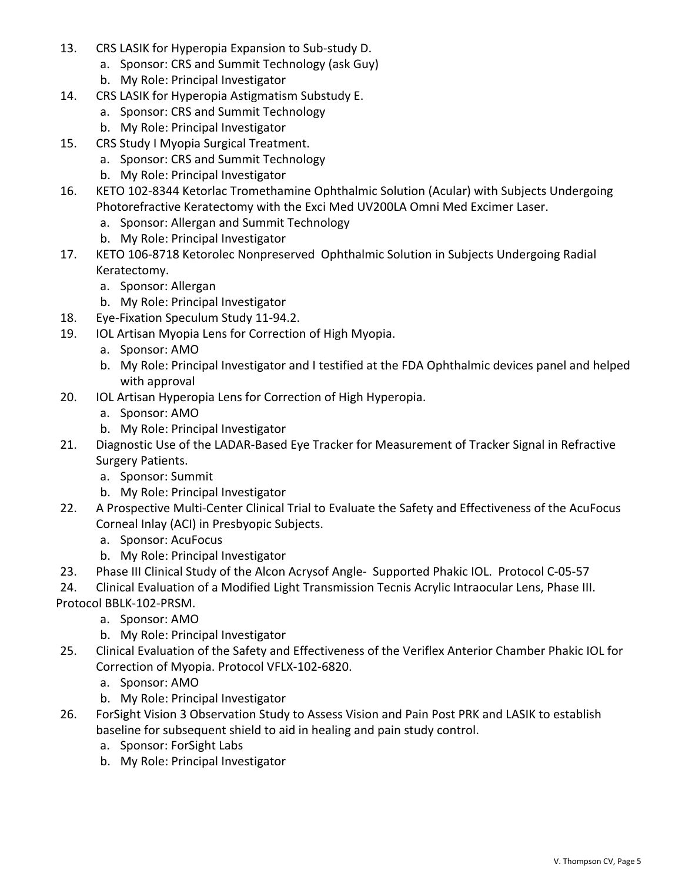- 13. CRS LASIK for Hyperopia Expansion to Sub-study D.
	- a. Sponsor: CRS and Summit Technology (ask Guy)
	- b. My Role: Principal Investigator
- 14. CRS LASIK for Hyperopia Astigmatism Substudy E.
	- a. Sponsor: CRS and Summit Technology
	- b. My Role: Principal Investigator
- 15. CRS Study I Myopia Surgical Treatment.
	- a. Sponsor: CRS and Summit Technology
	- b. My Role: Principal Investigator
- 16. KETO 102-8344 Ketorlac Tromethamine Ophthalmic Solution (Acular) with Subjects Undergoing Photorefractive Keratectomy with the Exci Med UV200LA Omni Med Excimer Laser.
	- a. Sponsor: Allergan and Summit Technology
	- b. My Role: Principal Investigator
- 17. KETO 106-8718 Ketorolec Nonpreserved Ophthalmic Solution in Subjects Undergoing Radial Keratectomy.
	- a. Sponsor: Allergan
	- b. My Role: Principal Investigator
- 18. Eye-Fixation Speculum Study 11-94.2.
- 19. IOL Artisan Myopia Lens for Correction of High Myopia.
	- a. Sponsor: AMO
	- b. My Role: Principal Investigator and I testified at the FDA Ophthalmic devices panel and helped with approval
- 20. IOL Artisan Hyperopia Lens for Correction of High Hyperopia.
	- a. Sponsor: AMO
	- b. My Role: Principal Investigator
- 21. Diagnostic Use of the LADAR-Based Eye Tracker for Measurement of Tracker Signal in Refractive Surgery Patients.
	- a. Sponsor: Summit
	- b. My Role: Principal Investigator
- 22. A Prospective Multi-Center Clinical Trial to Evaluate the Safety and Effectiveness of the AcuFocus Corneal Inlay (ACI) in Presbyopic Subjects.
	- a. Sponsor: AcuFocus
	- b. My Role: Principal Investigator
- 23. Phase III Clinical Study of the Alcon Acrysof Angle- Supported Phakic IOL. Protocol C-05-57
- 24. Clinical Evaluation of a Modified Light Transmission Tecnis Acrylic Intraocular Lens, Phase III.
- Protocol BBLK-102-PRSM.
	- a. Sponsor: AMO
	- b. My Role: Principal Investigator
- 25. Clinical Evaluation of the Safety and Effectiveness of the Veriflex Anterior Chamber Phakic IOL for Correction of Myopia. Protocol VFLX-102-6820.
	- a. Sponsor: AMO
	- b. My Role: Principal Investigator
- 26. ForSight Vision 3 Observation Study to Assess Vision and Pain Post PRK and LASIK to establish baseline for subsequent shield to aid in healing and pain study control.
	- a. Sponsor: ForSight Labs
	- b. My Role: Principal Investigator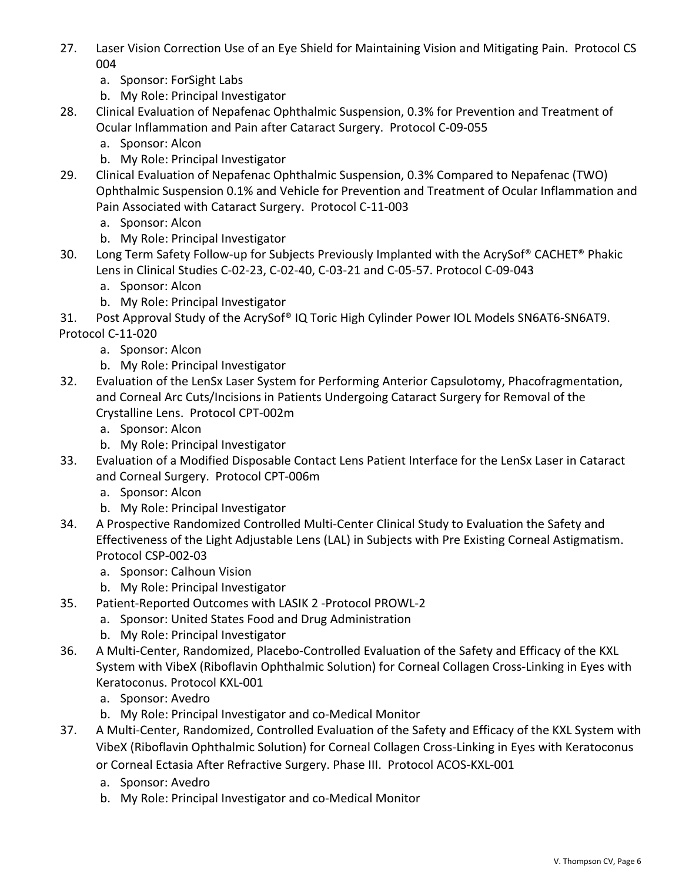- 27. Laser Vision Correction Use of an Eye Shield for Maintaining Vision and Mitigating Pain. Protocol CS 004
	- a. Sponsor: ForSight Labs
	- b. My Role: Principal Investigator
- 28. Clinical Evaluation of Nepafenac Ophthalmic Suspension, 0.3% for Prevention and Treatment of Ocular Inflammation and Pain after Cataract Surgery. Protocol C-09-055
	- a. Sponsor: Alcon
	- b. My Role: Principal Investigator
- 29. Clinical Evaluation of Nepafenac Ophthalmic Suspension, 0.3% Compared to Nepafenac (TWO) Ophthalmic Suspension 0.1% and Vehicle for Prevention and Treatment of Ocular Inflammation and Pain Associated with Cataract Surgery. Protocol C-11-003
	- a. Sponsor: Alcon
	- b. My Role: Principal Investigator
- 30. Long Term Safety Follow-up for Subjects Previously Implanted with the AcrySof® CACHET® Phakic Lens in Clinical Studies C-02-23, C-02-40, C-03-21 and C-05-57. Protocol C-09-043
	- a. Sponsor: Alcon
	- b. My Role: Principal Investigator
- 31. Post Approval Study of the AcrySof® IQ Toric High Cylinder Power IOL Models SN6AT6-SN6AT9. Protocol C-11-020
	- a. Sponsor: Alcon
	- b. My Role: Principal Investigator
- 32. Evaluation of the LenSx Laser System for Performing Anterior Capsulotomy, Phacofragmentation, and Corneal Arc Cuts/Incisions in Patients Undergoing Cataract Surgery for Removal of the Crystalline Lens. Protocol CPT-002m
	- a. Sponsor: Alcon
	- b. My Role: Principal Investigator
- 33. Evaluation of a Modified Disposable Contact Lens Patient Interface for the LenSx Laser in Cataract and Corneal Surgery. Protocol CPT-006m
	- a. Sponsor: Alcon
	- b. My Role: Principal Investigator
- 34. A Prospective Randomized Controlled Multi-Center Clinical Study to Evaluation the Safety and Effectiveness of the Light Adjustable Lens (LAL) in Subjects with Pre Existing Corneal Astigmatism. Protocol CSP-002-03
	- a. Sponsor: Calhoun Vision
	- b. My Role: Principal Investigator
- 35. Patient-Reported Outcomes with LASIK 2 -Protocol PROWL-2
	- a. Sponsor: United States Food and Drug Administration
		- b. My Role: Principal Investigator
- 36. A Multi-Center, Randomized, Placebo-Controlled Evaluation of the Safety and Efficacy of the KXL System with VibeX (Riboflavin Ophthalmic Solution) for Corneal Collagen Cross-Linking in Eyes with Keratoconus. Protocol KXL-001
	- a. Sponsor: Avedro
	- b. My Role: Principal Investigator and co-Medical Monitor
- 37. A Multi-Center, Randomized, Controlled Evaluation of the Safety and Efficacy of the KXL System with VibeX (Riboflavin Ophthalmic Solution) for Corneal Collagen Cross-Linking in Eyes with Keratoconus or Corneal Ectasia After Refractive Surgery. Phase III. Protocol ACOS-KXL-001
	- a. Sponsor: Avedro
	- b. My Role: Principal Investigator and co-Medical Monitor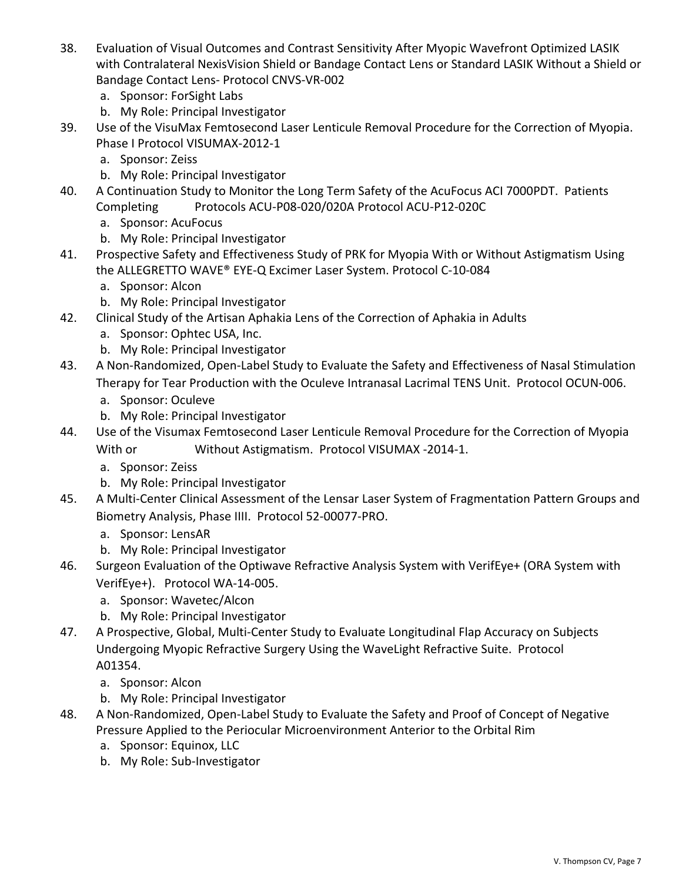- 38. Evaluation of Visual Outcomes and Contrast Sensitivity After Myopic Wavefront Optimized LASIK with Contralateral NexisVision Shield or Bandage Contact Lens or Standard LASIK Without a Shield or Bandage Contact Lens- Protocol CNVS-VR-002
	- a. Sponsor: ForSight Labs
	- b. My Role: Principal Investigator
- 39. Use of the VisuMax Femtosecond Laser Lenticule Removal Procedure for the Correction of Myopia. Phase I Protocol VISUMAX-2012-1
	- a. Sponsor: Zeiss
	- b. My Role: Principal Investigator
- 40. A Continuation Study to Monitor the Long Term Safety of the AcuFocus ACI 7000PDT. Patients Completing Protocols ACU-P08-020/020A Protocol ACU-P12-020C
	- a. Sponsor: AcuFocus
	- b. My Role: Principal Investigator
- 41. Prospective Safety and Effectiveness Study of PRK for Myopia With or Without Astigmatism Using the ALLEGRETTO WAVE® EYE-Q Excimer Laser System. Protocol C-10-084
	- a. Sponsor: Alcon
	- b. My Role: Principal Investigator
- 42. Clinical Study of the Artisan Aphakia Lens of the Correction of Aphakia in Adults
	- a. Sponsor: Ophtec USA, Inc.
	- b. My Role: Principal Investigator
- 43. A Non-Randomized, Open-Label Study to Evaluate the Safety and Effectiveness of Nasal Stimulation Therapy for Tear Production with the Oculeve Intranasal Lacrimal TENS Unit. Protocol OCUN-006.
	- a. Sponsor: Oculeve
	- b. My Role: Principal Investigator
- 44. Use of the Visumax Femtosecond Laser Lenticule Removal Procedure for the Correction of Myopia With or Without Astigmatism. Protocol VISUMAX -2014-1.
	- a. Sponsor: Zeiss
	- b. My Role: Principal Investigator
- 45. A Multi-Center Clinical Assessment of the Lensar Laser System of Fragmentation Pattern Groups and Biometry Analysis, Phase IIII. Protocol 52-00077-PRO.
	- a. Sponsor: LensAR
	- b. My Role: Principal Investigator
- 46. Surgeon Evaluation of the Optiwave Refractive Analysis System with VerifEye+ (ORA System with VerifEye+). Protocol WA-14-005.
	- a. Sponsor: Wavetec/Alcon
	- b. My Role: Principal Investigator
- 47. A Prospective, Global, Multi-Center Study to Evaluate Longitudinal Flap Accuracy on Subjects Undergoing Myopic Refractive Surgery Using the WaveLight Refractive Suite. Protocol A01354.
	- a. Sponsor: Alcon
	- b. My Role: Principal Investigator
- 48. A Non-Randomized, Open-Label Study to Evaluate the Safety and Proof of Concept of Negative Pressure Applied to the Periocular Microenvironment Anterior to the Orbital Rim
	- a. Sponsor: Equinox, LLC
	- b. My Role: Sub-Investigator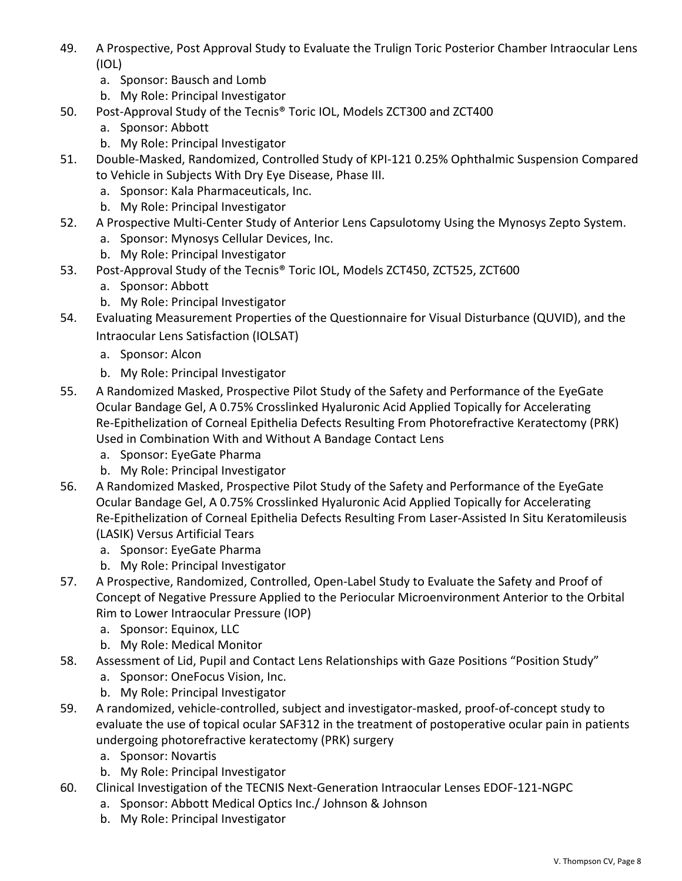- 49. A Prospective, Post Approval Study to Evaluate the Trulign Toric Posterior Chamber Intraocular Lens (IOL)
	- a. Sponsor: Bausch and Lomb
	- b. My Role: Principal Investigator
- 50. Post-Approval Study of the Tecnis® Toric IOL, Models ZCT300 and ZCT400
	- a. Sponsor: Abbott
	- b. My Role: Principal Investigator
- 51. Double-Masked, Randomized, Controlled Study of KPI-121 0.25% Ophthalmic Suspension Compared to Vehicle in Subjects With Dry Eye Disease, Phase III.
	- a. Sponsor: Kala Pharmaceuticals, Inc.
	- b. My Role: Principal Investigator
- 52. A Prospective Multi-Center Study of Anterior Lens Capsulotomy Using the Mynosys Zepto System.
	- a. Sponsor: Mynosys Cellular Devices, Inc.
	- b. My Role: Principal Investigator
- 53. Post-Approval Study of the Tecnis® Toric IOL, Models ZCT450, ZCT525, ZCT600
	- a. Sponsor: Abbott
	- b. My Role: Principal Investigator
- 54. Evaluating Measurement Properties of the Questionnaire for Visual Disturbance (QUVID), and the Intraocular Lens Satisfaction (IOLSAT)
	- a. Sponsor: Alcon
	- b. My Role: Principal Investigator
- 55. A Randomized Masked, Prospective Pilot Study of the Safety and Performance of the EyeGate Ocular Bandage Gel, A 0.75% Crosslinked Hyaluronic Acid Applied Topically for Accelerating Re-Epithelization of Corneal Epithelia Defects Resulting From Photorefractive Keratectomy (PRK) Used in Combination With and Without A Bandage Contact Lens
	- a. Sponsor: EyeGate Pharma
	- b. My Role: Principal Investigator
- 56. A Randomized Masked, Prospective Pilot Study of the Safety and Performance of the EyeGate Ocular Bandage Gel, A 0.75% Crosslinked Hyaluronic Acid Applied Topically for Accelerating Re-Epithelization of Corneal Epithelia Defects Resulting From Laser-Assisted In Situ Keratomileusis (LASIK) Versus Artificial Tears
	- a. Sponsor: EyeGate Pharma
	- b. My Role: Principal Investigator
- 57. A Prospective, Randomized, Controlled, Open-Label Study to Evaluate the Safety and Proof of Concept of Negative Pressure Applied to the Periocular Microenvironment Anterior to the Orbital Rim to Lower Intraocular Pressure (IOP)
	- a. Sponsor: Equinox, LLC
	- b. My Role: Medical Monitor
- 58. Assessment of Lid, Pupil and Contact Lens Relationships with Gaze Positions "Position Study"
	- a. Sponsor: OneFocus Vision, Inc.
	- b. My Role: Principal Investigator
- 59. A randomized, vehicle-controlled, subject and investigator-masked, proof-of-concept study to evaluate the use of topical ocular SAF312 in the treatment of postoperative ocular pain in patients undergoing photorefractive keratectomy (PRK) surgery
	- a. Sponsor: Novartis
	- b. My Role: Principal Investigator
- 60. Clinical Investigation of the TECNIS Next-Generation Intraocular Lenses EDOF-121-NGPC
	- a. Sponsor: Abbott Medical Optics Inc./ Johnson & Johnson
	- b. My Role: Principal Investigator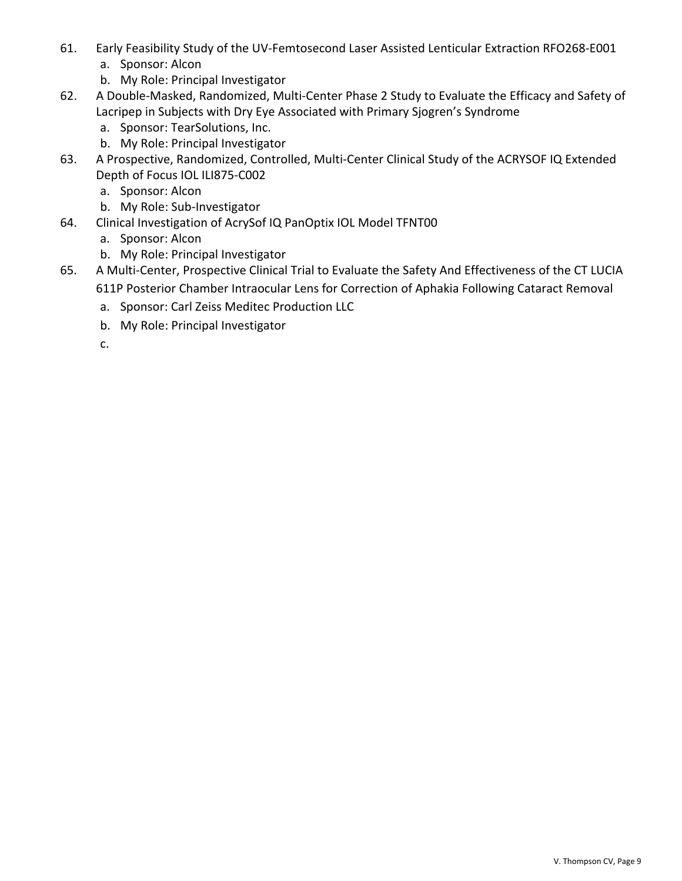- 61. Early Feasibility Study of the UV-Femtosecond Laser Assisted Lenticular Extraction RFO268-E001
	- a. Sponsor: Alcon
	- b. My Role: Principal Investigator
- 62. A Double-Masked, Randomized, Multi-Center Phase 2 Study to Evaluate the Efficacy and Safety of Lacripep in Subjects with Dry Eye Associated with Primary Sjogren's Syndrome
	- a. Sponsor: TearSolutions, Inc.
	- b. My Role: Principal Investigator
- 63. A Prospective, Randomized, Controlled, Multi-Center Clinical Study of the ACRYSOF IQ Extended Depth of Focus IOL ILI875-C002
	- a. Sponsor: Alcon
	- b. My Role: Sub-Investigator
- 64. Clinical Investigation of AcrySof IQ PanOptix IOL Model TFNT00
	- a. Sponsor: Alcon
	- b. My Role: Principal Investigator
- 65. A Multi-Center, Prospective Clinical Trial to Evaluate the Safety And Effectiveness of the CT LUCIA 611P Posterior Chamber Intraocular Lens for Correction of Aphakia Following Cataract Removal
	- a. Sponsor: Carl Zeiss Meditec Production LLC
	- b. My Role: Principal Investigator
	- c.